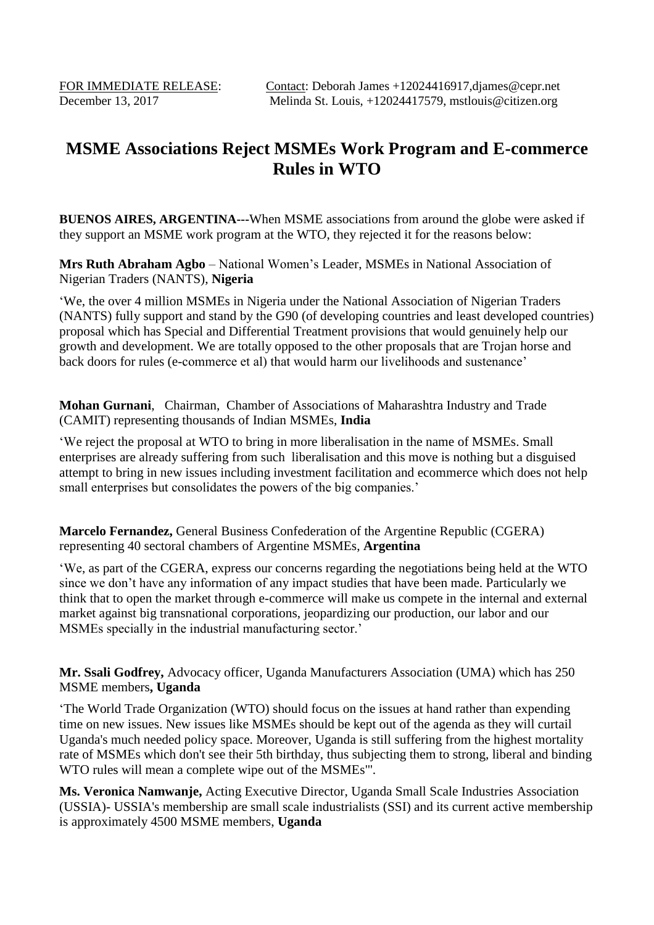## **MSME Associations Reject MSMEs Work Program and E-commerce Rules in WTO**

**BUENOS AIRES, ARGENTINA---**When MSME associations from around the globe were asked if they support an MSME work program at the WTO, they rejected it for the reasons below:

**Mrs Ruth Abraham Agbo** – National Women's Leader, MSMEs in National Association of Nigerian Traders (NANTS), **Nigeria**

'We, the over 4 million MSMEs in Nigeria under the National Association of Nigerian Traders (NANTS) fully support and stand by the G90 (of developing countries and least developed countries) proposal which has Special and Differential Treatment provisions that would genuinely help our growth and development. We are totally opposed to the other proposals that are Trojan horse and back doors for rules (e-commerce et al) that would harm our livelihoods and sustenance'

**Mohan Gurnani**, Chairman, Chamber of Associations of Maharashtra Industry and Trade (CAMIT) representing thousands of Indian MSMEs, **India**

'We reject the proposal at WTO to bring in more liberalisation in the name of MSMEs. Small enterprises are already suffering from such liberalisation and this move is nothing but a disguised attempt to bring in new issues including investment facilitation and ecommerce which does not help small enterprises but consolidates the powers of the big companies.'

**Marcelo Fernandez,** General Business Confederation of the Argentine Republic (CGERA) representing 40 sectoral chambers of Argentine MSMEs, **Argentina**

'We, as part of the CGERA, express our concerns regarding the negotiations being held at the WTO since we don't have any information of any impact studies that have been made. Particularly we think that to open the market through e-commerce will make us compete in the internal and external market against big transnational corporations, jeopardizing our production, our labor and our MSMEs specially in the industrial manufacturing sector.'

**Mr. Ssali Godfrey,** Advocacy officer, Uganda Manufacturers Association (UMA) which has 250 MSME members**, Uganda**

'The World Trade Organization (WTO) should focus on the issues at hand rather than expending time on new issues. New issues like MSMEs should be kept out of the agenda as they will curtail Uganda's much needed policy space. Moreover, Uganda is still suffering from the highest mortality rate of MSMEs which don't see their 5th birthday, thus subjecting them to strong, liberal and binding WTO rules will mean a complete wipe out of the MSMEs"'.

**Ms. Veronica Namwanje,** Acting Executive Director, Uganda Small Scale Industries Association (USSIA)- USSIA's membership are small scale industrialists (SSI) and its current active membership is approximately 4500 MSME members, **Uganda**